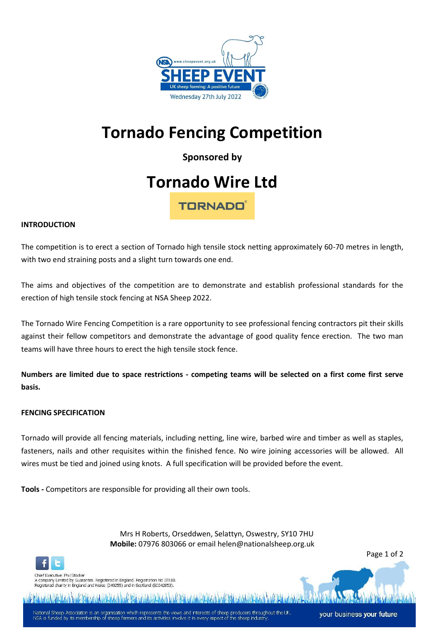

# **Tornado Fencing Competition**

**Sponsored by** 

## **Tornado Wire Ltd**

**TORNADO** 

## **INTRODUCTION**

The competition is to erect a section of Tornado high tensile stock netting approximately 60-70 metres in length, with two end straining posts and a slight turn towards one end.

The aims and objectives of the competition are to demonstrate and establish professional standards for the erection of high tensile stock fencing at NSA Sheep 2022.

The Tornado Wire Fencing Competition is a rare opportunity to see professional fencing contractors pit their skills against their fellow competitors and demonstrate the advantage of good quality fence erection. The two man teams will have three hours to erect the high tensile stock fence.

**Numbers are limited due to space restrictions - competing teams will be selected on a first come first serve basis.**

#### **FENCING SPECIFICATION**

Tornado will provide all fencing materials, including netting, line wire, barbed wire and timber as well as staples, fasteners, nails and other requisites within the finished fence. No wire joining accessories will be allowed. All wires must be tied and joined using knots. A full specification will be provided before the event.

**Tools -** Competitors are responsible for providing all their own tools.

 Mrs H Roberts, Orseddwen, Selattyn, Oswestry, SY10 7HU **Mobile:** 07976 803066 or email helen@nationalsheep.org.uk

Page 1 of 2



Chief Executive: Phil Stocker -<br>hy Limited by Guarantee. Registered in England. Registration No 37818 egistered charity in England and Wales (249255) and in Scotland (9C042853)

National Sheep Association is an organisation which represents the views and interests of sheep producers throughout the UK<br>NSA is funded by its membership of sheep farmers and its activities involve it in every aspect of

your business your future